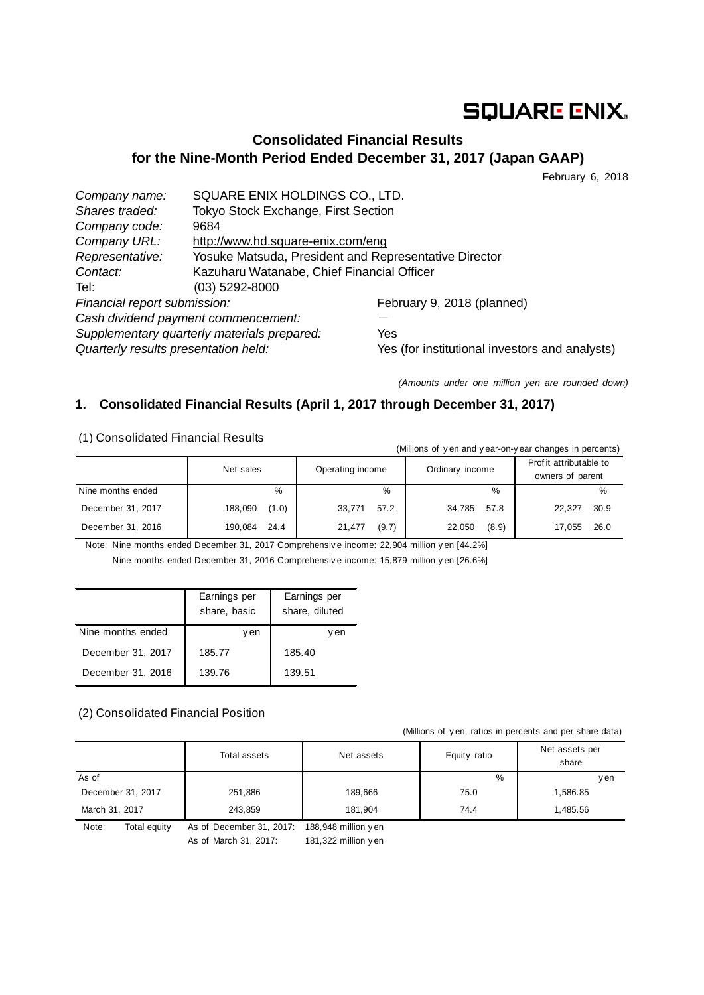# **SQUARE ENIX.**

## **Consolidated Financial Results for the Nine-Month Period Ended December 31, 2017 (Japan GAAP)**

February 6, 2018

| Company name:                               | SQUARE ENIX HOLDINGS CO., LTD.                        |                                                |  |
|---------------------------------------------|-------------------------------------------------------|------------------------------------------------|--|
| Shares traded:                              | Tokyo Stock Exchange, First Section                   |                                                |  |
| Company code:                               | 9684                                                  |                                                |  |
| Company URL:                                | http://www.hd.square-enix.com/eng                     |                                                |  |
| Representative:                             | Yosuke Matsuda, President and Representative Director |                                                |  |
| Contact:                                    | Kazuharu Watanabe, Chief Financial Officer            |                                                |  |
| Tel:                                        | (03) 5292-8000                                        |                                                |  |
| Financial report submission:                |                                                       | February 9, 2018 (planned)                     |  |
| Cash dividend payment commencement:         |                                                       |                                                |  |
| Supplementary quarterly materials prepared: |                                                       | Yes                                            |  |
| Quarterly results presentation held:        |                                                       | Yes (for institutional investors and analysts) |  |

*(Amounts under one million yen are rounded down)*

## **1. Consolidated Financial Results (April 1, 2017 through December 31, 2017)**

(1) Consolidated Financial Results

| (Millions of yen and year-on-year changes in percents) |                  |                  |                 |                                             |  |  |
|--------------------------------------------------------|------------------|------------------|-----------------|---------------------------------------------|--|--|
|                                                        | Net sales        | Operating income | Ordinary income | Prof it attributable to<br>owners of parent |  |  |
| Nine months ended                                      | %                | %                | $\%$            | %                                           |  |  |
| December 31, 2017                                      | 188,090<br>(1.0) | 57.2<br>33,771   | 34,785<br>57.8  | 30.9<br>22.327                              |  |  |
| December 31, 2016                                      | 190.084<br>24.4  | (9.7)<br>21,477  | (8.9)<br>22.050 | 26.0<br>17.055                              |  |  |

Note: Nine months ended December 31, 2017 Comprehensiv e income: 22,904 million y en [44.2%] Nine months ended December 31, 2016 Comprehensiv e income: 15,879 million y en [26.6%]

|                   | Earnings per<br>share, basic | Earnings per<br>share, diluted |  |
|-------------------|------------------------------|--------------------------------|--|
| Nine months ended | v en                         | v en                           |  |
| December 31, 2017 | 185.77                       | 185.40                         |  |
| December 31, 2016 | 139.76                       | 139.51                         |  |

### (2) Consolidated Financial Position

(Millions of y en, ratios in percents and per share data)

|                       | Total assets             | Net assets           | Equity ratio | Net assets per<br>share |  |
|-----------------------|--------------------------|----------------------|--------------|-------------------------|--|
| As of                 |                          |                      | %            | <b>v</b> en             |  |
| December 31, 2017     | 251,886                  | 189.666              | 75.0         | 1,586.85                |  |
| March 31, 2017        | 243.859                  | 181.904              | 74.4         | 1.485.56                |  |
| Note:<br>Total equity | As of December 31, 2017: | 188,948 million y en |              |                         |  |

As of March 31, 2017: 181,322 million y en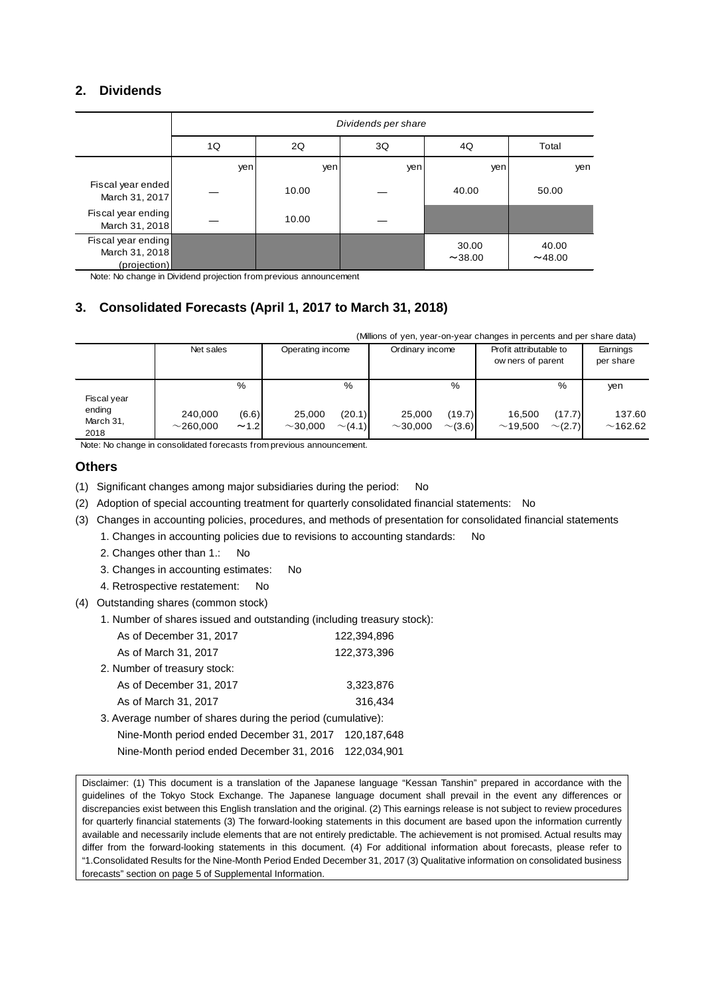## **2. Dividends**

|                                                      | Dividends per share |                         |     |                 |                  |  |  |
|------------------------------------------------------|---------------------|-------------------------|-----|-----------------|------------------|--|--|
|                                                      | 1Q                  | 2Q<br>3Q<br>4Q<br>Total |     |                 |                  |  |  |
|                                                      | yen                 | yen                     | yen | yen             | yen              |  |  |
| Fiscal year ended<br>March 31, 2017                  |                     | 10.00                   |     | 40.00           | 50.00            |  |  |
| Fiscal year ending<br>March 31, 2018                 |                     | 10.00                   |     |                 |                  |  |  |
| Fiscal year ending<br>March 31, 2018<br>(projection) |                     |                         |     | 30.00<br>~14.00 | 40.00<br>~148.00 |  |  |

Note: No change in Dividend projection from previous announcement

## **3. Consolidated Forecasts (April 1, 2017 to March 31, 2018)**

|                             | (Millions of yen, year-on-year changes in percents and per share data) |               |                         |                        |                                                                |                        |                       |                        |                   |
|-----------------------------|------------------------------------------------------------------------|---------------|-------------------------|------------------------|----------------------------------------------------------------|------------------------|-----------------------|------------------------|-------------------|
|                             | Net sales                                                              |               | Operating income        |                        | Profit attributable to<br>Ordinary income<br>ow ners of parent |                        | Earnings<br>per share |                        |                   |
| Fiscal year                 |                                                                        | %             |                         | %                      |                                                                | %                      |                       | %                      | yen               |
| ending<br>March 31,<br>2018 | 240,000<br>$\sim$ 260.000                                              | (6.6)<br>~1.2 | 25,000<br>$\sim$ 30.000 | (20.1)<br>$\sim$ (4.1) | 25.000<br>$\sim$ 30.000                                        | (19.7)<br>$\sim$ (3.6) | 16.500<br>~19.500     | (17.7)<br>$\sim$ (2.7) | 137.60<br>~162.62 |

Note: No change in consolidated forecasts from previous announcement.

#### **Others**

- (1) Significant changes among major subsidiaries during the period: No
- (2) Adoption of special accounting treatment for quarterly consolidated financial statements: No
- (3) Changes in accounting policies, procedures, and methods of presentation for consolidated financial statements
	- 1. Changes in accounting policies due to revisions to accounting standards: No
	- 2. Changes other than 1.: No
	- 3. Changes in accounting estimates: No
	- 4. Retrospective restatement: No
- (4) Outstanding shares (common stock)
	- 1. Number of shares issued and outstanding (including treasury stock):

| As of December 31, 2017                                     | 122,394,896 |
|-------------------------------------------------------------|-------------|
| As of March 31, 2017                                        | 122,373,396 |
| 2. Number of treasury stock:                                |             |
| As of December 31, 2017                                     | 3,323,876   |
| As of March 31, 2017                                        | 316,434     |
| 3. Average number of shares during the period (cumulative): |             |
| Nine-Month period ended December 31, 2017                   | 120,187,648 |
| Nine-Month period ended December 31, 2016                   | 122.034.901 |
|                                                             |             |

Disclaimer: (1) This document is a translation of the Japanese language "Kessan Tanshin" prepared in accordance with the guidelines of the Tokyo Stock Exchange. The Japanese language document shall prevail in the event any differences or discrepancies exist between this English translation and the original. (2) This earnings release is not subject to review procedures for quarterly financial statements (3) The forward-looking statements in this document are based upon the information currently available and necessarily include elements that are not entirely predictable. The achievement is not promised. Actual results may differ from the forward-looking statements in this document. (4) For additional information about forecasts, please refer to "1.Consolidated Results for the Nine-Month Period Ended December 31, 2017 (3) Qualitative information on consolidated business forecasts" section on page 5 of Supplemental Information.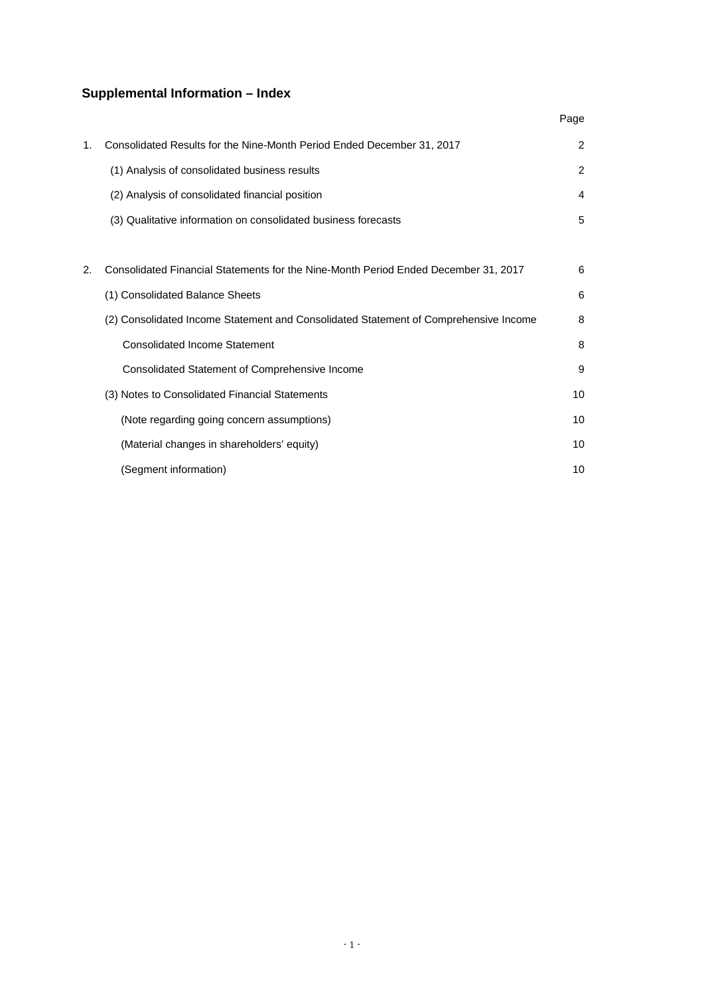## **Supplemental Information – Index**

|    |                                                                                      | Page |
|----|--------------------------------------------------------------------------------------|------|
| 1. | Consolidated Results for the Nine-Month Period Ended December 31, 2017               | 2    |
|    | (1) Analysis of consolidated business results                                        | 2    |
|    | (2) Analysis of consolidated financial position                                      | 4    |
|    | (3) Qualitative information on consolidated business forecasts                       | 5    |
|    |                                                                                      |      |
| 2. | Consolidated Financial Statements for the Nine-Month Period Ended December 31, 2017  | 6    |
|    | (1) Consolidated Balance Sheets                                                      | 6    |
|    | (2) Consolidated Income Statement and Consolidated Statement of Comprehensive Income | 8    |
|    | <b>Consolidated Income Statement</b>                                                 | 8    |
|    | Consolidated Statement of Comprehensive Income                                       | 9    |
|    | (3) Notes to Consolidated Financial Statements                                       | 10   |
|    | (Note regarding going concern assumptions)                                           | 10   |
|    | (Material changes in shareholders' equity)                                           | 10   |
|    | (Segment information)                                                                | 10   |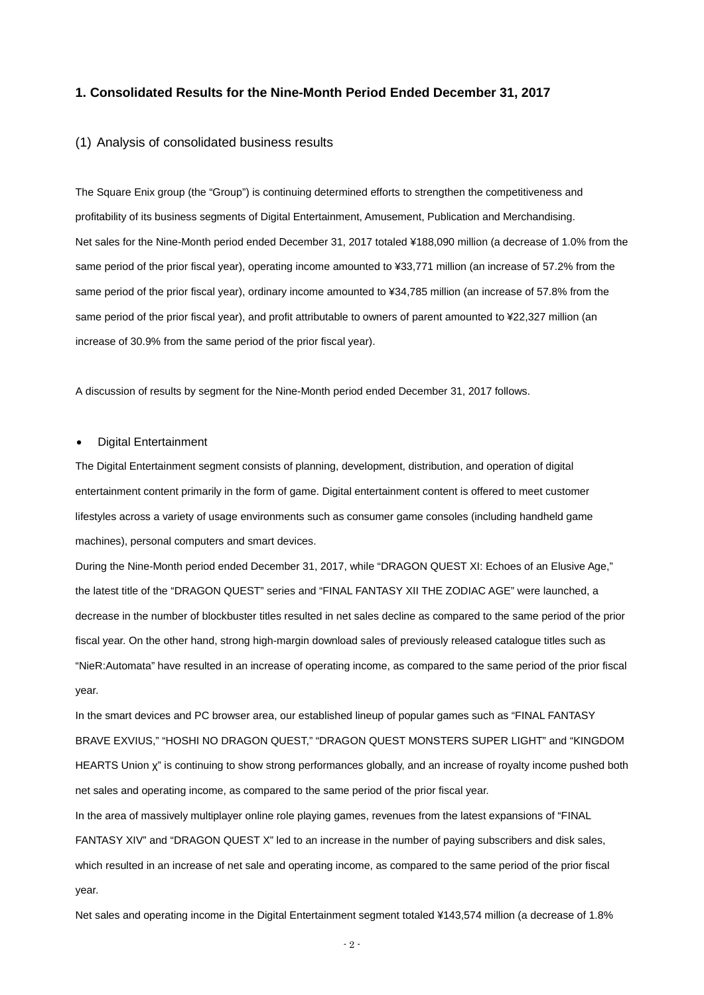#### **1. Consolidated Results for the Nine-Month Period Ended December 31, 2017**

#### (1) Analysis of consolidated business results

The Square Enix group (the "Group") is continuing determined efforts to strengthen the competitiveness and profitability of its business segments of Digital Entertainment, Amusement, Publication and Merchandising. Net sales for the Nine-Month period ended December 31, 2017 totaled ¥188,090 million (a decrease of 1.0% from the same period of the prior fiscal year), operating income amounted to ¥33,771 million (an increase of 57.2% from the same period of the prior fiscal year), ordinary income amounted to ¥34,785 million (an increase of 57.8% from the same period of the prior fiscal year), and profit attributable to owners of parent amounted to ¥22,327 million (an increase of 30.9% from the same period of the prior fiscal year).

A discussion of results by segment for the Nine-Month period ended December 31, 2017 follows.

#### • Digital Entertainment

The Digital Entertainment segment consists of planning, development, distribution, and operation of digital entertainment content primarily in the form of game. Digital entertainment content is offered to meet customer lifestyles across a variety of usage environments such as consumer game consoles (including handheld game machines), personal computers and smart devices.

During the Nine-Month period ended December 31, 2017, while "DRAGON QUEST XI: Echoes of an Elusive Age," the latest title of the "DRAGON QUEST" series and "FINAL FANTASY XII THE ZODIAC AGE" were launched, a decrease in the number of blockbuster titles resulted in net sales decline as compared to the same period of the prior fiscal year. On the other hand, strong high-margin download sales of previously released catalogue titles such as "NieR:Automata" have resulted in an increase of operating income, as compared to the same period of the prior fiscal year.

In the smart devices and PC browser area, our established lineup of popular games such as "FINAL FANTASY BRAVE EXVIUS," "HOSHI NO DRAGON QUEST," "DRAGON QUEST MONSTERS SUPER LIGHT" and "KINGDOM HEARTS Union χ" is continuing to show strong performances globally, and an increase of royalty income pushed both net sales and operating income, as compared to the same period of the prior fiscal year. In the area of massively multiplayer online role playing games, revenues from the latest expansions of "FINAL

FANTASY XIV" and "DRAGON QUEST X" led to an increase in the number of paying subscribers and disk sales, which resulted in an increase of net sale and operating income, as compared to the same period of the prior fiscal year.

Net sales and operating income in the Digital Entertainment segment totaled ¥143,574 million (a decrease of 1.8%

- 2 -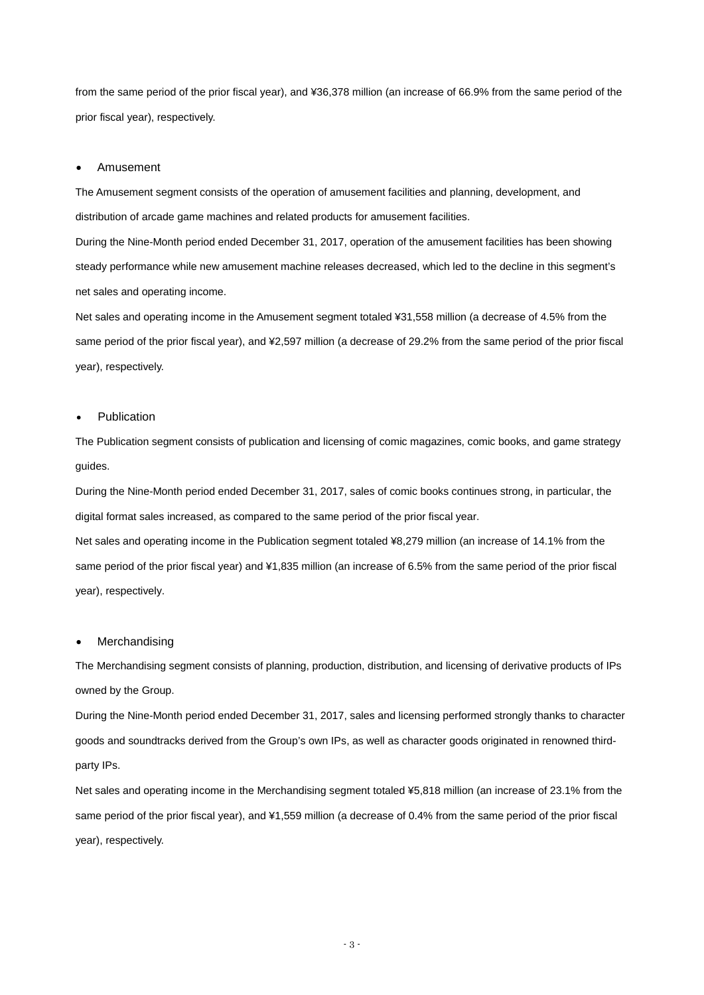from the same period of the prior fiscal year), and ¥36,378 million (an increase of 66.9% from the same period of the prior fiscal year), respectively.

#### • Amusement

The Amusement segment consists of the operation of amusement facilities and planning, development, and distribution of arcade game machines and related products for amusement facilities.

During the Nine-Month period ended December 31, 2017, operation of the amusement facilities has been showing steady performance while new amusement machine releases decreased, which led to the decline in this segment's net sales and operating income.

Net sales and operating income in the Amusement segment totaled ¥31,558 million (a decrease of 4.5% from the same period of the prior fiscal year), and ¥2,597 million (a decrease of 29.2% from the same period of the prior fiscal year), respectively.

#### **Publication**

The Publication segment consists of publication and licensing of comic magazines, comic books, and game strategy guides.

During the Nine-Month period ended December 31, 2017, sales of comic books continues strong, in particular, the digital format sales increased, as compared to the same period of the prior fiscal year.

Net sales and operating income in the Publication segment totaled ¥8,279 million (an increase of 14.1% from the same period of the prior fiscal year) and ¥1,835 million (an increase of 6.5% from the same period of the prior fiscal year), respectively.

#### **Merchandising**

The Merchandising segment consists of planning, production, distribution, and licensing of derivative products of IPs owned by the Group.

During the Nine-Month period ended December 31, 2017, sales and licensing performed strongly thanks to character goods and soundtracks derived from the Group's own IPs, as well as character goods originated in renowned thirdparty IPs.

Net sales and operating income in the Merchandising segment totaled ¥5,818 million (an increase of 23.1% from the same period of the prior fiscal year), and ¥1,559 million (a decrease of 0.4% from the same period of the prior fiscal year), respectively.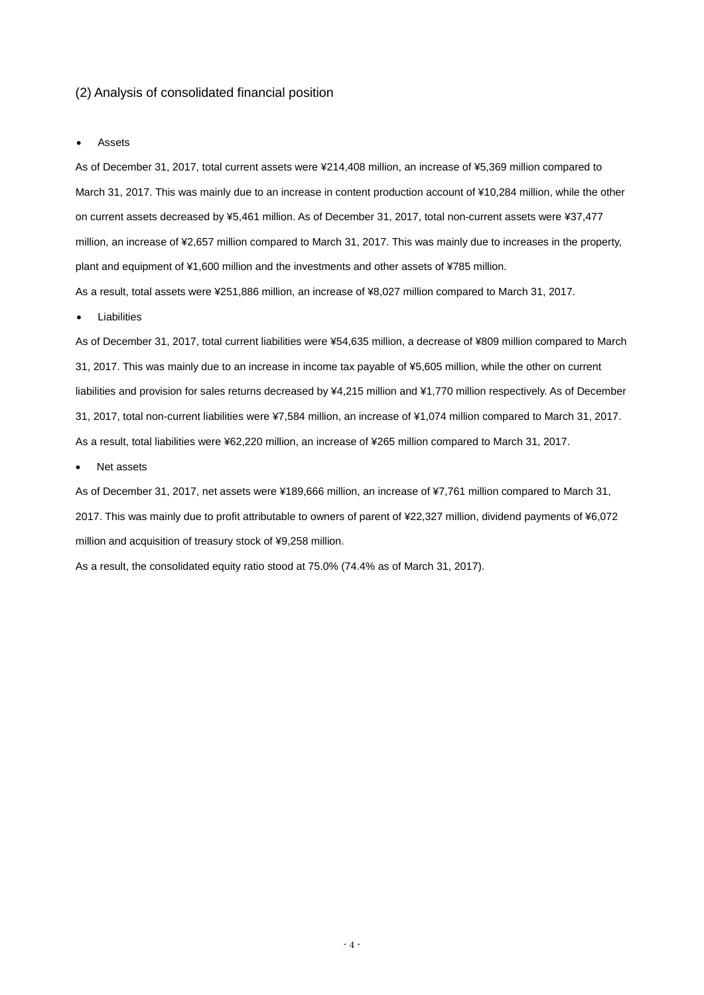#### (2) Analysis of consolidated financial position

**Assets** 

As of December 31, 2017, total current assets were ¥214,408 million, an increase of ¥5,369 million compared to March 31, 2017. This was mainly due to an increase in content production account of ¥10,284 million, while the other on current assets decreased by ¥5,461 million. As of December 31, 2017, total non-current assets were ¥37,477 million, an increase of ¥2,657 million compared to March 31, 2017. This was mainly due to increases in the property, plant and equipment of ¥1,600 million and the investments and other assets of ¥785 million.

As a result, total assets were ¥251,886 million, an increase of ¥8,027 million compared to March 31, 2017.

**Liabilities** 

As of December 31, 2017, total current liabilities were ¥54,635 million, a decrease of ¥809 million compared to March 31, 2017. This was mainly due to an increase in income tax payable of ¥5,605 million, while the other on current liabilities and provision for sales returns decreased by ¥4,215 million and ¥1,770 million respectively. As of December 31, 2017, total non-current liabilities were ¥7,584 million, an increase of ¥1,074 million compared to March 31, 2017. As a result, total liabilities were ¥62,220 million, an increase of ¥265 million compared to March 31, 2017.

Net assets

As of December 31, 2017, net assets were ¥189,666 million, an increase of ¥7,761 million compared to March 31, 2017. This was mainly due to profit attributable to owners of parent of ¥22,327 million, dividend payments of ¥6,072 million and acquisition of treasury stock of ¥9,258 million.

As a result, the consolidated equity ratio stood at 75.0% (74.4% as of March 31, 2017).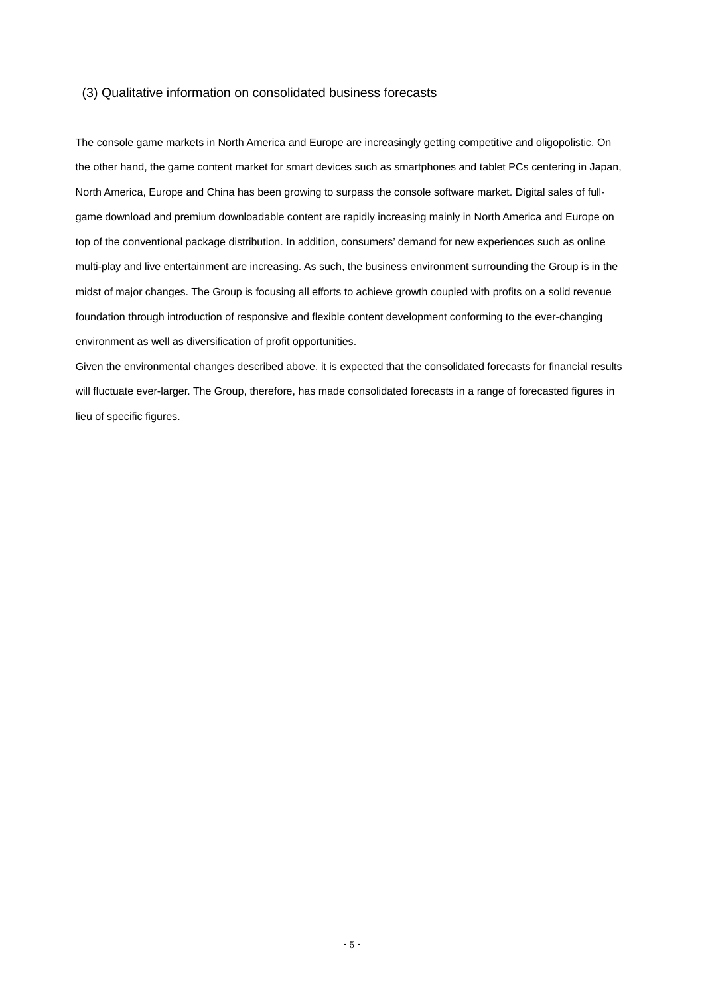#### (3) Qualitative information on consolidated business forecasts

The console game markets in North America and Europe are increasingly getting competitive and oligopolistic. On the other hand, the game content market for smart devices such as smartphones and tablet PCs centering in Japan, North America, Europe and China has been growing to surpass the console software market. Digital sales of fullgame download and premium downloadable content are rapidly increasing mainly in North America and Europe on top of the conventional package distribution. In addition, consumers' demand for new experiences such as online multi-play and live entertainment are increasing. As such, the business environment surrounding the Group is in the midst of major changes. The Group is focusing all efforts to achieve growth coupled with profits on a solid revenue foundation through introduction of responsive and flexible content development conforming to the ever-changing environment as well as diversification of profit opportunities.

Given the environmental changes described above, it is expected that the consolidated forecasts for financial results will fluctuate ever-larger. The Group, therefore, has made consolidated forecasts in a range of forecasted figures in lieu of specific figures.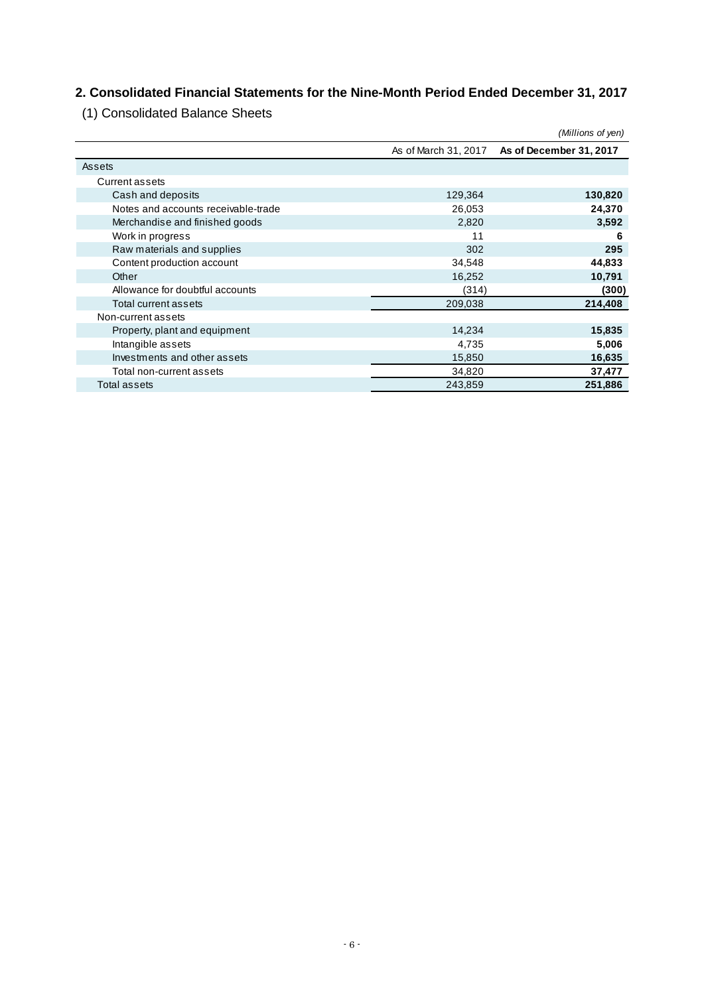## **2. Consolidated Financial Statements for the Nine-Month Period Ended December 31, 2017**

(1) Consolidated Balance Sheets

|                                     |         | (Millions of yen)                            |
|-------------------------------------|---------|----------------------------------------------|
|                                     |         | As of March 31, 2017 As of December 31, 2017 |
| Assets                              |         |                                              |
| Current assets                      |         |                                              |
| Cash and deposits                   | 129,364 | 130,820                                      |
| Notes and accounts receivable-trade | 26,053  | 24,370                                       |
| Merchandise and finished goods      | 2,820   | 3,592                                        |
| Work in progress                    | 11      | 6                                            |
| Raw materials and supplies          | 302     | 295                                          |
| Content production account          | 34,548  | 44,833                                       |
| Other                               | 16,252  | 10,791                                       |
| Allowance for doubtful accounts     | (314)   | (300)                                        |
| Total current assets                | 209,038 | 214,408                                      |
| Non-current assets                  |         |                                              |
| Property, plant and equipment       | 14,234  | 15,835                                       |
| Intangible assets                   | 4,735   | 5,006                                        |
| Investments and other assets        | 15,850  | 16,635                                       |
| Total non-current assets            | 34,820  | 37,477                                       |
| Total assets                        | 243,859 | 251,886                                      |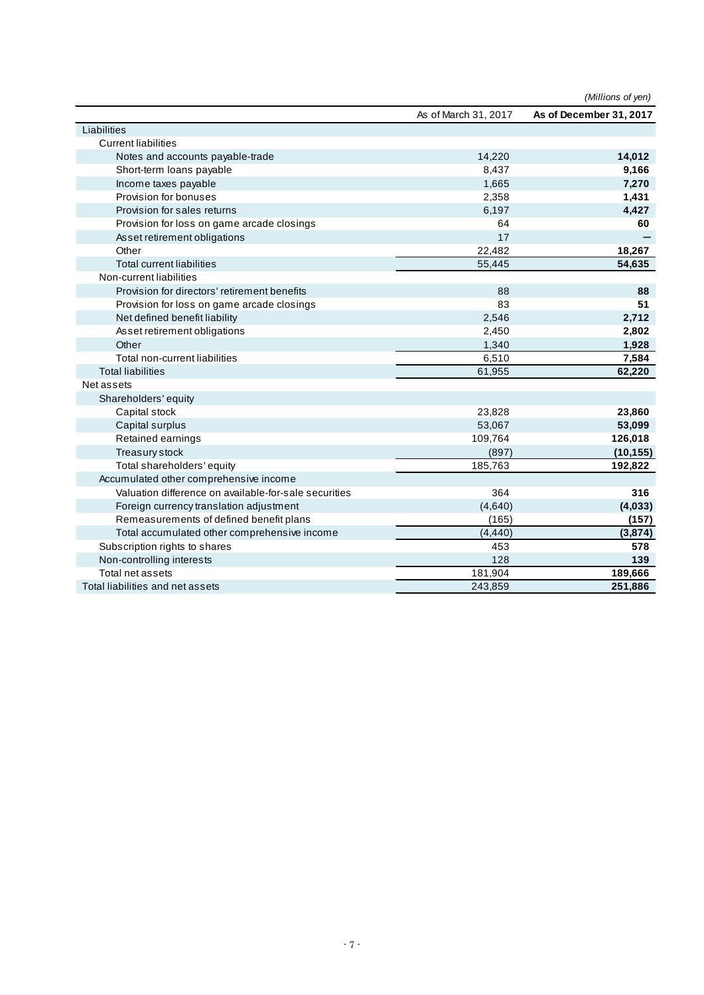|                                                       |                      | (Millions of yen)       |
|-------------------------------------------------------|----------------------|-------------------------|
|                                                       | As of March 31, 2017 | As of December 31, 2017 |
| Liabilities                                           |                      |                         |
| <b>Current liabilities</b>                            |                      |                         |
| Notes and accounts payable-trade                      | 14,220               | 14,012                  |
| Short-term loans payable                              | 8,437                | 9,166                   |
| Income taxes payable                                  | 1,665                | 7,270                   |
| Provision for bonuses                                 | 2,358                | 1,431                   |
| Provision for sales returns                           | 6,197                | 4,427                   |
| Provision for loss on game arcade closings            | 64                   | 60                      |
| Asset retirement obligations                          | 17                   |                         |
| Other                                                 | 22,482               | 18,267                  |
| <b>Total current liabilities</b>                      | 55,445               | 54,635                  |
| Non-current liabilities                               |                      |                         |
| Provision for directors' retirement benefits          | 88                   | 88                      |
| Provision for loss on game arcade closings            | 83                   | 51                      |
| Net defined benefit liability                         | 2,546                | 2,712                   |
| Asset retirement obligations                          | 2,450                | 2,802                   |
| Other                                                 | 1,340                | 1,928                   |
| Total non-current liabilities                         | 6,510                | 7,584                   |
| <b>Total liabilities</b>                              | 61,955               | 62,220                  |
| Net assets                                            |                      |                         |
| Shareholders' equity                                  |                      |                         |
| Capital stock                                         | 23,828               | 23,860                  |
| Capital surplus                                       | 53,067               | 53,099                  |
| Retained earnings                                     | 109,764              | 126,018                 |
| Treasury stock                                        | (897)                | (10, 155)               |
| Total shareholders' equity                            | 185,763              | 192,822                 |
| Accumulated other comprehensive income                |                      |                         |
| Valuation difference on available-for-sale securities | 364                  | 316                     |
| Foreign currency translation adjustment               | (4,640)              | (4,033)                 |
| Remeasurements of defined benefit plans               | (165)                | (157)                   |
| Total accumulated other comprehensive income          | (4, 440)             | (3,874)                 |
| Subscription rights to shares                         | 453                  | 578                     |
| Non-controlling interests                             | 128                  | 139                     |
| Total net assets                                      | 181,904              | 189,666                 |
| Total liabilities and net assets                      | 243,859              | 251,886                 |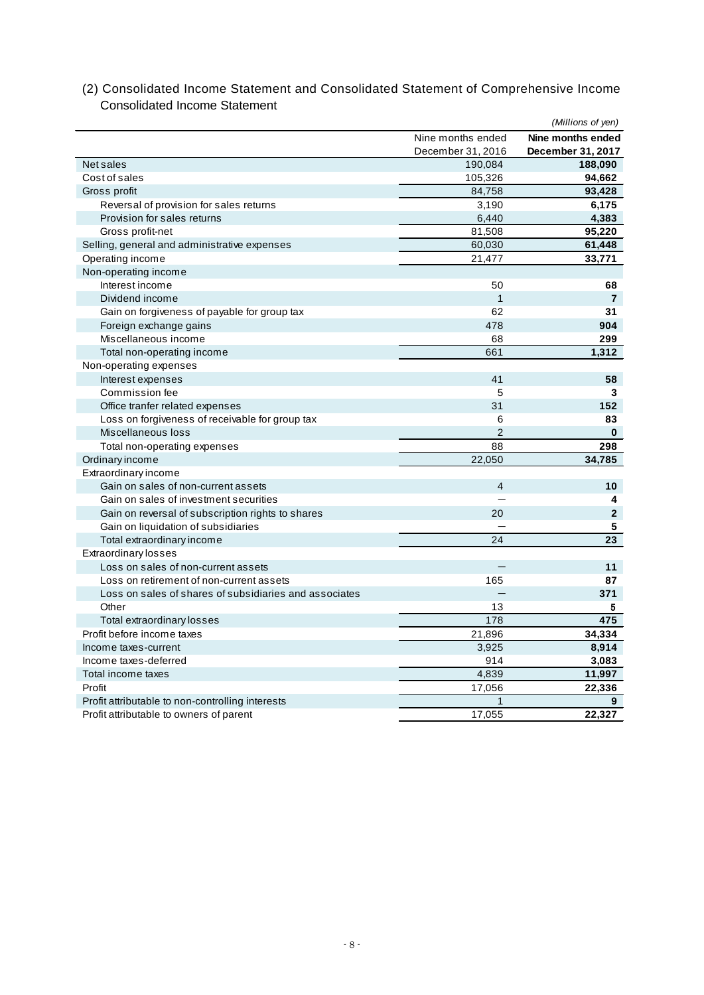|                                                        |                   | (Millions of yen) |
|--------------------------------------------------------|-------------------|-------------------|
|                                                        | Nine months ended | Nine months ended |
|                                                        | December 31, 2016 | December 31, 2017 |
| Net sales                                              | 190,084           | 188,090           |
| Cost of sales                                          | 105,326           | 94,662            |
| Gross profit                                           | 84,758            | 93,428            |
| Reversal of provision for sales returns                | 3,190             | 6,175             |
| Provision for sales returns                            | 6,440             | 4,383             |
| Gross profit-net                                       | 81,508            | 95,220            |
| Selling, general and administrative expenses           | 60,030            | 61,448            |
| Operating income                                       | 21,477            | 33,771            |
| Non-operating income                                   |                   |                   |
| Interest income                                        | 50                | 68                |
| Dividend income                                        | $\overline{1}$    | $\overline{7}$    |
| Gain on forgiveness of payable for group tax           | 62                | 31                |
| Foreign exchange gains                                 | 478               | 904               |
| Miscellaneous income                                   | 68                | 299               |
| Total non-operating income                             | 661               | 1,312             |
| Non-operating expenses                                 |                   |                   |
| Interest expenses                                      | 41                | 58                |
| Commission fee                                         | 5                 | 3                 |
| Office tranfer related expenses                        | 31                | 152               |
| Loss on forgiveness of receivable for group tax        | 6                 | 83                |
| Miscellaneous loss                                     | $\overline{2}$    | $\bf{0}$          |
| Total non-operating expenses                           | 88                | 298               |
| Ordinary income                                        | 22,050            | 34,785            |
| Extraordinary income                                   |                   |                   |
| Gain on sales of non-current assets                    | $\overline{4}$    | 10                |
| Gain on sales of investment securities                 |                   | 4                 |
| Gain on reversal of subscription rights to shares      | 20                | $\overline{2}$    |
| Gain on liquidation of subsidiaries                    |                   | 5                 |
| Total extraordinary income                             | 24                | 23                |
| Extraordinary losses                                   |                   |                   |
| Loss on sales of non-current assets                    |                   | 11                |
| Loss on retirement of non-current assets               | 165               | 87                |
| Loss on sales of shares of subsidiaries and associates |                   | 371               |
| Other                                                  | 13                | 5                 |
| Total extraordinary losses                             | 178               | 475               |
| Profit before income taxes                             | 21,896            | 34,334            |
| Income taxes-current                                   | 3,925             | 8,914             |
| Income taxes-deferred                                  | 914               | 3,083             |
| Total income taxes                                     | 4,839             | 11,997            |
| Profit                                                 | 17,056            | 22,336            |
| Profit attributable to non-controlling interests       | $\mathbf{1}$      | 9                 |
| Profit attributable to owners of parent                | 17,055            | 22,327            |

(2) Consolidated Income Statement and Consolidated Statement of Comprehensive Income Consolidated Income Statement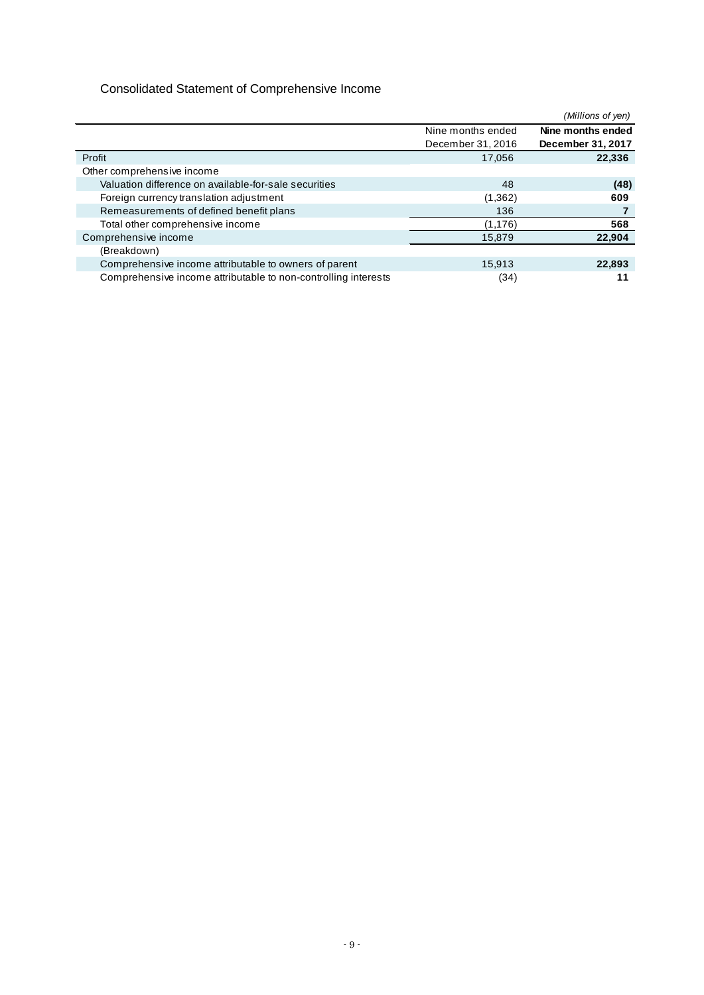## Consolidated Statement of Comprehensive Income

|                                                                |                   | (Millions of yen) |
|----------------------------------------------------------------|-------------------|-------------------|
|                                                                | Nine months ended | Nine months ended |
|                                                                | December 31, 2016 | December 31, 2017 |
| Profit                                                         | 17,056            | 22,336            |
| Other comprehensive income                                     |                   |                   |
| Valuation difference on available-for-sale securities          | 48                | (48)              |
| Foreign currency translation adjustment                        | (1,362)           | 609               |
| Remeasurements of defined benefit plans                        | 136               |                   |
| Total other comprehensive income                               | (1, 176)          | 568               |
| Comprehensive income                                           | 15,879            | 22.904            |
| (Breakdown)                                                    |                   |                   |
| Comprehensive income attributable to owners of parent          | 15,913            | 22,893            |
| Comprehensive income attributable to non-controlling interests | (34)              |                   |